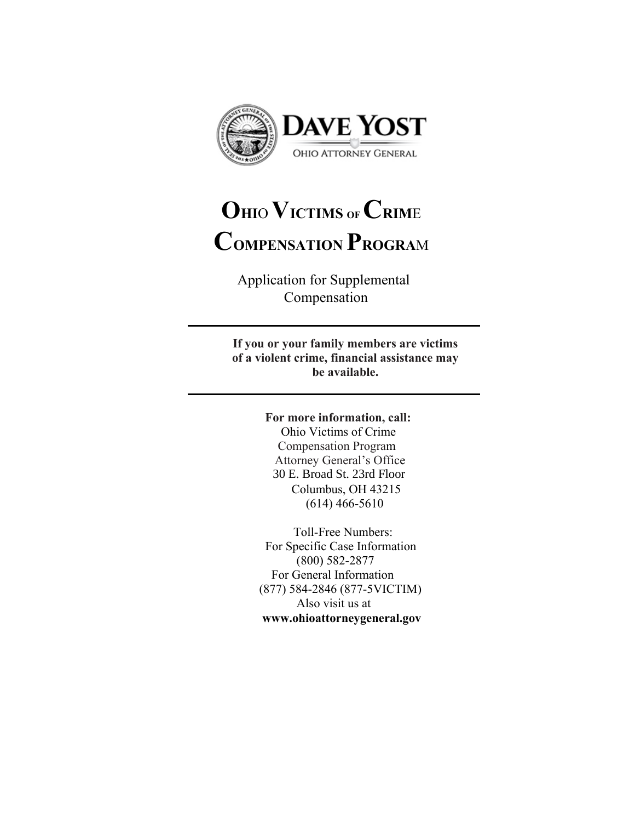

# **OHI**O **VICTIMS OF CRIM**<sup>E</sup> **COMPENSATION PROGRA**<sup>M</sup>

Application for Supplemental Compensation

**If you or your family members are victims of a violent crime, financial assistance may be available.** 

## **For more information, call:**

Ohio Victims of Crime Compensation Program Attorney General's Office Columbus, OH 43215 (614) 466-5610 30 E. Broad St. 23rd Floor

Toll-Free Numbers: For Specific Case Information (800) 582-2877 For General Information (877) 584-2846 (877-5VICTIM) Also visit us at **<www.ohioattorneygeneral.gov>**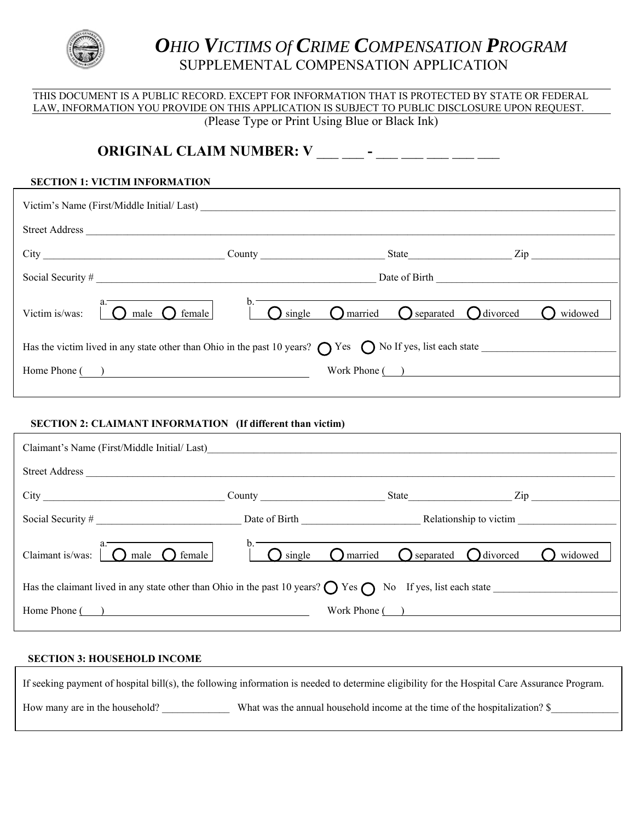

j

## *OHIO VICTIMS Of CRIME COMPENSATION PROGRAM* SUPPLEMENTAL COMPENSATION APPLICATION

## THIS DOCUMENT IS A PUBLIC RECORD. EXCEPT FOR INFORMATION THAT IS PROTECTED BY STATE OR FEDERAL LAW, INFORMATION YOU PROVIDE ON THIS APPLICATION IS SUBJECT TO PUBLIC DISCLOSURE UPON REQUEST. (Please Type or Print Using Blue or Black Ink)

## **SECTION 1: VICTIM INFORMATION**  Has the victim lived in any state other than Ohio in the past 10 years?  $\bigcirc$  Yes  $\bigcirc$  No If yes, list each state  $\bigcirc$ Home Phone ( ) Work Phone ( ) **ORIGINAL CLAIM NUMBER: V \_\_\_ \_\_ - \_\_ \_\_ \_\_ \_\_ \_\_ \_\_ \_\_ \_\_** Victim's Name (First/Middle Initial/ Last) \_\_\_\_\_\_\_\_\_\_\_\_\_\_\_\_\_\_\_\_\_\_\_\_\_\_\_\_\_\_\_\_\_\_\_\_\_\_\_\_\_\_\_\_\_\_\_\_\_\_\_\_\_\_\_\_\_\_\_\_\_\_\_\_\_\_\_\_\_\_\_\_\_\_\_\_\_\_\_\_ Street Address \_\_\_\_\_\_\_\_\_\_\_\_\_\_\_\_\_\_\_\_\_\_\_\_\_\_\_\_\_\_\_\_\_\_\_\_\_\_\_\_\_\_\_\_\_\_\_\_\_\_\_\_\_\_\_\_\_\_\_\_\_\_\_\_\_\_\_\_\_\_\_\_\_\_\_\_\_\_\_\_\_\_\_\_\_\_\_\_\_\_\_\_\_\_\_\_\_\_\_\_\_\_ City \_\_\_\_\_\_\_\_\_\_\_\_\_\_\_\_\_\_\_\_\_\_\_\_\_\_\_\_\_\_\_\_\_\_\_ County \_\_\_\_\_\_\_\_\_\_\_\_\_\_\_\_\_\_\_\_\_\_\_\_ State\_\_\_\_\_\_\_\_\_\_\_\_\_\_\_\_\_\_\_\_ Zip \_\_\_\_\_\_\_\_\_\_\_\_\_\_\_\_\_ Social Security # \_\_\_\_\_\_\_\_\_\_\_\_\_\_\_\_\_\_\_\_\_\_\_\_\_\_\_\_\_\_\_\_\_\_\_\_\_\_\_\_\_\_\_\_\_\_\_\_\_\_\_\_\_\_ Date of Birth \_\_\_\_\_\_\_\_\_\_\_\_\_\_\_\_\_\_\_\_\_\_\_\_\_\_\_\_\_\_\_\_\_\_\_  $a.$  b. Victim is/was:  $\bigcap$  male  $\bigcap$  female  $\bigcap$  female  $\bigcap$  single  $\bigcap$  married  $\bigcap$  separated  $\bigcap$  divorced  $\bigcap$  widowed

## **SECTION 2: CLAIMANT INFORMATION (If different than victim)**

Ī

 $\overline{a}$ 

| Claimant's Name (First/Middle Initial/Last)                                                                                    |               |                                                                                                                                                                                                                               |                  |
|--------------------------------------------------------------------------------------------------------------------------------|---------------|-------------------------------------------------------------------------------------------------------------------------------------------------------------------------------------------------------------------------------|------------------|
| <b>Street Address</b>                                                                                                          |               |                                                                                                                                                                                                                               |                  |
|                                                                                                                                |               | State and the state of the state of the state of the state of the state of the state of the state of the state of the state of the state of the state of the state of the state of the state of the state of the state of the | Zip              |
| Social Security $#$                                                                                                            |               |                                                                                                                                                                                                                               |                  |
| Claimant is/was:<br>$\overline{1}$ $\bigcap$ male $\bigcap$ female                                                             | $\sum$ single | $\bigcap$ married $\bigcap$ separated $\bigcap$ divorced                                                                                                                                                                      | widowed          |
| Has the claimant lived in any state other than Ohio in the past 10 years? $\bigcirc$ Yes $\bigcirc$ No If yes, list each state |               |                                                                                                                                                                                                                               |                  |
| Home Phone ()                                                                                                                  |               |                                                                                                                                                                                                                               | Work Phone $($ ) |

## **SECTION 3: HOUSEHOLD INCOME**

How many are in the household? What was the annual household income at the time of the hospitalization? \$ If seeking payment of hospital bill(s), the following information is needed to determine eligibility for the Hospital Care Assurance Program.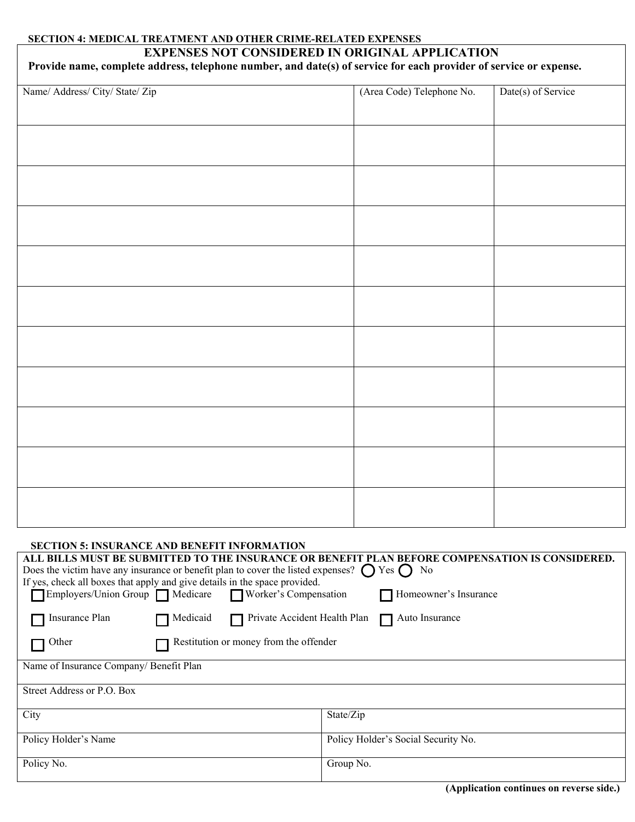## **SECTION 4: MEDICAL TREATMENT AND OTHER CRIME-RELATED EXPENSES**

## **EXPENSES NOT CONSIDERED IN ORIGINAL APPLICATION**

| Provide name, complete address, telephone number, and date(s) of service for each provider of service or expense. |  |  |  |  |
|-------------------------------------------------------------------------------------------------------------------|--|--|--|--|
|-------------------------------------------------------------------------------------------------------------------|--|--|--|--|

|                                 | (Area Code) Telephone No. | Date(s) of Service |
|---------------------------------|---------------------------|--------------------|
| Name/ Address/ City/ State/ Zip |                           |                    |
|                                 |                           |                    |
|                                 |                           |                    |
|                                 |                           |                    |
|                                 |                           |                    |
|                                 |                           |                    |
|                                 |                           |                    |
|                                 |                           |                    |
|                                 |                           |                    |
|                                 |                           |                    |
|                                 |                           |                    |
|                                 |                           |                    |
|                                 |                           |                    |
|                                 |                           |                    |
|                                 |                           |                    |
|                                 |                           |                    |
|                                 |                           |                    |
|                                 |                           |                    |
|                                 |                           |                    |
|                                 |                           |                    |
|                                 |                           |                    |
|                                 |                           |                    |
|                                 |                           |                    |
|                                 |                           |                    |
|                                 |                           |                    |
|                                 |                           |                    |
|                                 |                           |                    |
|                                 |                           |                    |
|                                 |                           |                    |
|                                 |                           |                    |
|                                 |                           |                    |
|                                 |                           |                    |
|                                 |                           |                    |
|                                 |                           |                    |
|                                 |                           |                    |
|                                 |                           |                    |
|                                 |                           |                    |
|                                 |                           |                    |

| <b>SECTION 5: INSURANCE AND BENEFIT INFORMATION</b>                                                         |                                                       |  |
|-------------------------------------------------------------------------------------------------------------|-------------------------------------------------------|--|
| ALL BILLS MUST BE SUBMITTED TO THE INSURANCE OR BENEFIT PLAN BEFORE COMPENSATION IS CONSIDERED.             |                                                       |  |
| Does the victim have any insurance or benefit plan to cover the listed expenses? $\bigcap$ Yes $\bigcap$ No |                                                       |  |
| If yes, check all boxes that apply and give details in the space provided.                                  |                                                       |  |
| Employers/Union Group Medicare<br>Worker's Compensation                                                     | Homeowner's Insurance                                 |  |
|                                                                                                             |                                                       |  |
| Insurance Plan<br>Medicaid                                                                                  | Private Accident Health Plan $\Box$<br>Auto Insurance |  |
| Restitution or money from the offender<br>Other                                                             |                                                       |  |
|                                                                                                             |                                                       |  |
| Name of Insurance Company/ Benefit Plan                                                                     |                                                       |  |
|                                                                                                             |                                                       |  |
| Street Address or P.O. Box                                                                                  |                                                       |  |
|                                                                                                             |                                                       |  |
| City                                                                                                        | State/Zip                                             |  |
|                                                                                                             |                                                       |  |
| Policy Holder's Name                                                                                        | Policy Holder's Social Security No.                   |  |
|                                                                                                             |                                                       |  |
| Policy No.                                                                                                  | Group No.                                             |  |
|                                                                                                             |                                                       |  |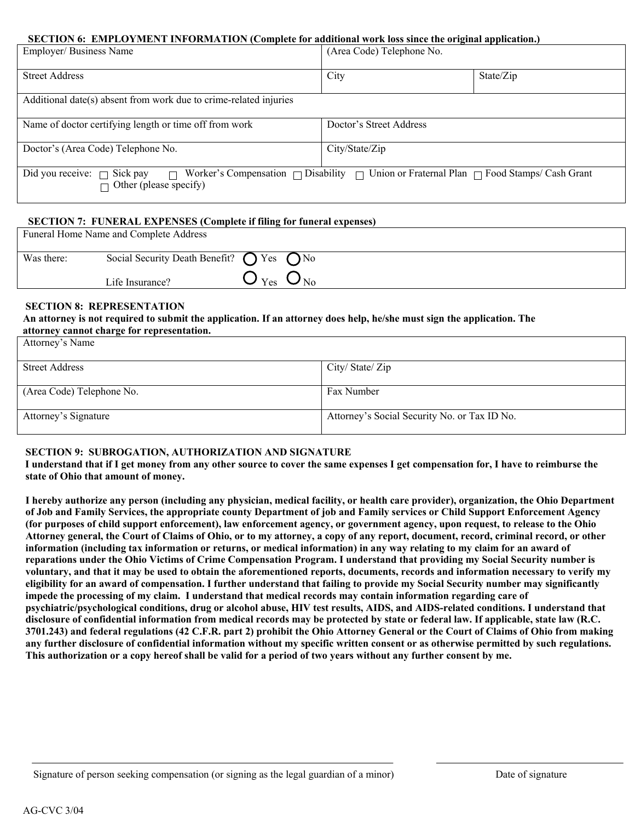#### **SECTION 6: EMPLOYMENT INFORMATION (Complete for additional work loss since the original application.)**

| Employer/Business Name                                            | (Area Code) Telephone No.                                                                             |           |
|-------------------------------------------------------------------|-------------------------------------------------------------------------------------------------------|-----------|
| <b>Street Address</b>                                             | City                                                                                                  | State/Zip |
| Additional date(s) absent from work due to crime-related injuries |                                                                                                       |           |
| Name of doctor certifying length or time off from work            | Doctor's Street Address                                                                               |           |
| Doctor's (Area Code) Telephone No.                                | City/State/Zip                                                                                        |           |
| Did you receive: $\Box$ Sick pay<br>П<br>Other (please specify)   | Worker's Compensation $\Box$ Disability $\Box$ Union or Fraternal Plan $\Box$ Food Stamps/ Cash Grant |           |

## **SECTION 7: FUNERAL EXPENSES (Complete if filing for funeral expenses)**

|            | Funeral Home Name and Complete Address                    |                                                    |  |
|------------|-----------------------------------------------------------|----------------------------------------------------|--|
| Was there: | Social Security Death Benefit? $\bigcap$ Yes $\bigcap$ No |                                                    |  |
|            | Life Insurance?                                           | $\mathbf{U}_{\text{Yes}}$ $\mathbf{U}_{\text{No}}$ |  |

#### **SECTION 8: REPRESENTATION**

#### **An attorney is not required to submit the application. If an attorney does help, he/she must sign the application. The attorney cannot charge for representation.**

| Attorney's Name           |                                              |
|---------------------------|----------------------------------------------|
| <b>Street Address</b>     | City/State/Zip                               |
| (Area Code) Telephone No. | Fax Number                                   |
| Attorney's Signature      | Attorney's Social Security No. or Tax ID No. |

## **SECTION 9: SUBROGATION, AUTHORIZATION AND SIGNATURE**

 **I understand that if I get money from any other source to cover the same expenses I get compensation for, I have to reimburse the state of Ohio that amount of money.** 

 **of Job and Family Services, the appropriate county Department of job and Family services or Child Support Enforcement Agency Attorney general, the Court of Claims of Ohio, or to my attorney, a copy of any report, document, record, criminal record, or other information (including tax information or returns, or medical information) in any way relating to my claim for an award of reparations under the Ohio Victims of Crime Compensation Program. I understand that providing my Social Security number is eligibility for an award of compensation. I further understand that failing to provide my Social Security number may significantly impede the processing of my claim. I understand that medical records may contain information regarding care of psychiatric/psychological conditions, drug or alcohol abuse, HIV test results, AIDS, and AIDS-related conditions. I understand that disclosure of confidential information from medical records may be protected by state or federal law. If applicable, state law (R.C. 3701.243) and federal regulations (42 C.F.R. part 2) prohibit the Ohio Attorney General or the Court of Claims of Ohio from making any further disclosure of confidential information without my specific written consent or as otherwise permitted by such regulations. This authorization or a copy hereof shall be valid for a period of two years without any further consent by me. I hereby authorize any person (including any physician, medical facility, or health care provider), organization, the Ohio Department (for purposes of child support enforcement), law enforcement agency, or government agency, upon request, to release to the Ohio voluntary, and that it may be used to obtain the aforementioned reports, documents, records and information necessary to verify my**